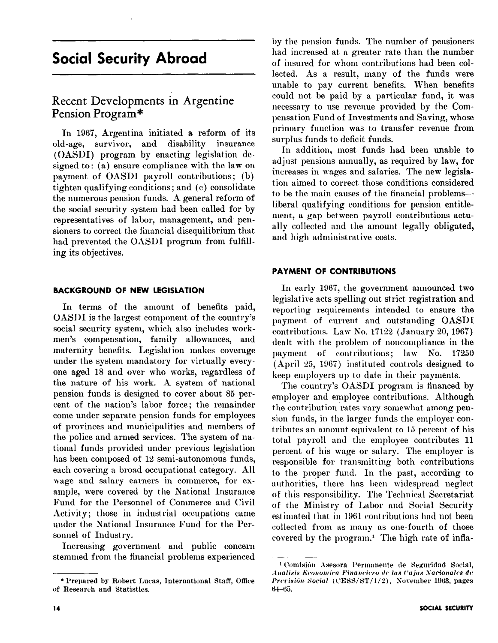# Social Security Abroad

# Recent Developments in Argentine Pension Program\*

In 1967, Argentina initiated a reform of its old-age, survivor, and disability insurance (OASDI) program by enacting legislation designed to : (a) ensure compliance with the law on payment of OASDI payroll contributions; (b) tighten qualifying conditions; and (c) consolidate the numerous pension funds. A general reform of the social security system had been called for by representatives of labor, management, and pensioners to correct the financial disequilibrium that had prevented the OASDI program from fulhlling its objectives.

#### BACKGROUND OF NEW LEGISLATION

In terms of the amount of benefits paid, OASDI is the largest component of the country's social security system, which also includes workmen's compensation, family allowances, and maternity benefits. Legislation makes coverage under the system mandatory for virtually everyone aged 18 and over who works, regardless of the nature of his work. A system of national pension funds is designed to cover about 85 percent of the nation% labor force; the remainder come under separate pension funds for employees of provinces and municipalities and members of the police and armed services. The system of national funds provided under previous legislation has been composed of 12 semi-autonomous funds, each covering a broad occupational category. All wage and salary earners in commerce, for example, were covered by tlie National Insurance Fund for the Personnel of Commerce and Civil Activity; those in industrial occupations came under the National Insurance Fund for the Persomiel of Industry.

Increasing government, and public concern stemmed from the financial problems experienced

by the pension funds. The number of pensioners had increased at a greater rate than the number of insured for whom contributions had been collected. As a result, many of the funds were unable to pay current benefits. When benefits could not be paid by a particular fund, it was necessary to use revenue provided by the Compensation Fund of Investments and Saving, whose primary function was to transfer revenue from surplus funds to deficit funds.

In addition, most funds had been unable to adjust pensions annually, as required by law, for increases in wages and salaries. The new legislation aimed to correct, those conditions considered to be the main causes of the financial problemsliberal qualifying conditions for pension entitlement, a gap bet ween payroll contributions actually collected and the amount legally obligated, and high administrative costs.

## PAYMENT OF CONTRIBUTIONS

In early 1967, the government announced two legislative acts spelling out strict registration and reporting requirements intended to ensure the payment of current and outstanding OASDI contributions. Law No. 17122 (January 20, 1967) dealt with the problem of noncompliance in the payment of contributions; law No. 17250  $(April 25, 1967)$  instituted controls designed to keep employers up to date in their payments.

The country's OASDI program is financed by employer and employee contributions. Although the contribution rates vary somewhat among pension funds, in the larger funds the employer contributes an amount equivalent to 15 percent of his total payroll and the employee contributes 11 percent of his wage or salary. The employer is responsible for transmitting both contributions to the proper fund. In the past, according to authorities, there has been widespread neglect of this responsibility. The Technical Secretariat of the Ministry of Labor and Social Security estimated that in 1961 contributions had not been collected from as many as one-fourth of those covered by the program.\* The high rate of infla-

<sup>\*</sup> Prepared by Robert Lucas, International Staff, Office of Research and Statistics.

<sup>&</sup>lt;sup>1</sup> Comisión Asesora l'ermanente de Seguridad Social, Analisis Economica Financiero de las Cajas Nacionales de Previsión Social (CESS/ST/1/2), November 1963, pages  $64 - 65.$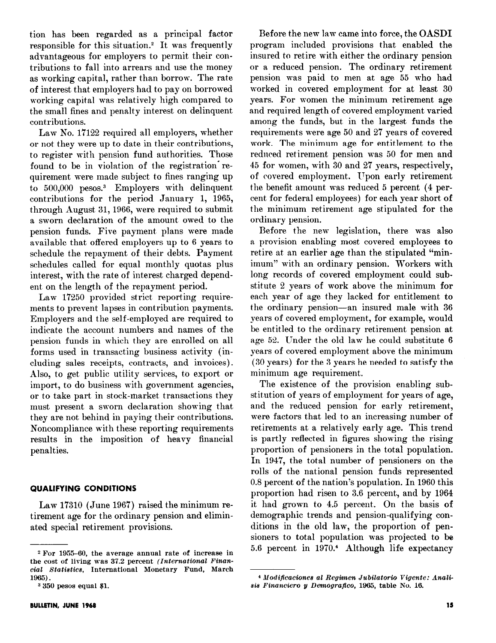tion has been regarded as a principal factor responsible for this situation.<sup>2</sup> It was frequently advantageous for employers to permit their contributions to fall into arrears and use the money as working capital, rather than borrow. The rate of interest that employers had to pay on borrowed working capital was relatively high compared to the small fines and penalty interest on delinquent contributions.

Law No. 17122 required all employers, whether or not they were up to date in their contributions, to register with pension fund authorities. Those found to be in violation of the registration requirement were made subject to fines ranging up to 500,000 pesos.3 Employers with delinquent contributions for the period January 1, 1965, through August 31,1966, were required to submit a sworn declaration of the amount owed to the pension funds. Five payment plans were made available that offered employers up to 6 years to schedule the repayment of their debts. Payment schedules called for equal monthly quotas plus interest, with the rate of interest charged dependent on the length of the repayment period.

Law 17250 provided strict reporting requirements to prevent lapses in contribution payments. Employers and the self-employed are required to indicate the account numbers and names of the pension funds in which they are enrolled on all forms used in transacting business activity (including sales receipts, contracts, and invoices). Also, to get public utility services, to export or import, to do business with government agencies, or to take part in stock-market transactions they must present a sworn declaration showing that they are not behind in paying their contributions. Noncompliance with these reporting requirements results in the imposition of heavy financial penalties.

#### QUALIFYING CONDITIONS

Law 17310 (June 1967) raised the minimum retirement age for the ordinary pension and eliminated special retirement provisions.

Before the new law came into force, the OASDI program included provisions that enabled the insured to retire with either the ordinary pension or a reduced pension. The ordinary retirement pension was paid to men at age 55 who had worked in covered employment for at least 30 years. For women the minimum retirement age and required length of covered employment varied among the funds, but in the largest funds the requirements were age 50 and 27 years of covered work. The minimum age for entitlement to the reduced retirement pension was 50 for men and 45 for women, with 30 and 27 years, respectively, of covered employment. Upon early retirement the benefit amount was reduced 5 percent (4 percent for federal employees) for each year short of the minimum retirement age stipulated for the ordinary pension.

Before the new legislation, there was also a provision enabling most covered employees to retire at an earlier age than the stipulated "minimum" with an ordinary pension. Workers with long records of covered employment could substitute 2 years of work above the minimum for each year of age they lacked for entitlement to the ordinary pension-an insured male with 36 years of covered employment, for example, would be entitled to the ordinary retirement pension at age 52. Under the old law he could substitute 6 years of covered employment above the minimum (30 years) for the 3 years he needed to satisfy the minimum age requirement.

The existence of the provision enabling substitution of years of employment for years of age, and the reduced pension for early retirement, were factors that led to an increasing number of retirements at a relatively early age. This trend is partly reflected in figures showing the rising proportion of pensioners in the total population. In 1947, the total number of pensioners on the rolls of the national pension funds represented 0.8 percent of the nation's population. In 1960 this proportion had risen to 3.6 percent, and by 1964 it had grown to 4.5 percent. On the basis of demographic trends and pension-qualifying conditions in the old law, the proportion of pensioners to total population was projected to be 5.6 percent in 1970.<sup>4</sup> Although life expectancy

 $2$  For 1955-60, the average annual rate of increase in the cost of living was  $37.2$  percent *(International Finan*oial Statietice, International Monetary Fund, March 1965).

<sup>3 350</sup> pesos equal \$1.

<sup>4</sup> Modificaciones al Regimen Jubilatorio Vigente: Analisis Financiero y Demografico, 1965, table No. 16.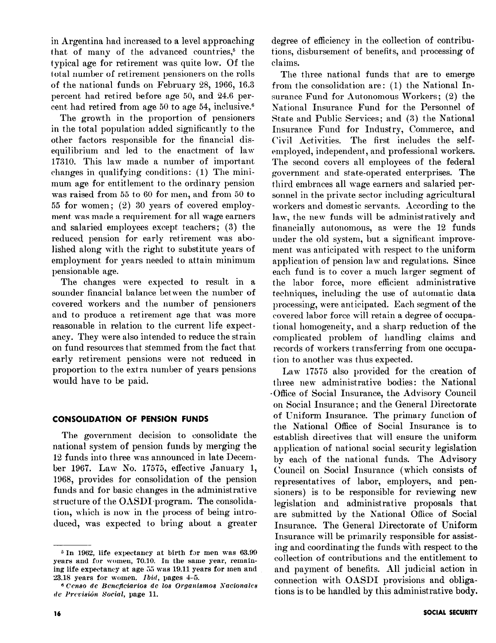in Argentina had increased to a level approaching that of many of the advanced countries,<sup>5</sup> the typical age for retirement was quite low. Of the total number of retirement pensioners on the rolls of the national funds on February 28, 1966, 16.3 percent had retired before age 50, and 24.6 percent had retired from age 50 to age 54, inclusive.6

The growth in the proportion of pensioners in the total population added significantly to the other factors responsible for the financial disequilibrium and led to the enactment of law 17310. This lam made a number of important changes in qualifying conditions : (1) The minimum age for entitlement to the ordinary pension was raised from 55 to 60 for men, and from 50 to 55 for women; (2) 30 years of covered employment was made a requirement for all wage earners and salaried employees except teachers; (3) the reduced pension for early retirement was abolished along with the right to substitute years of employment for years needed to attain minimum pensionable age.

The changes were expected to result in a sounder financial balance between the number of covered workers and the number of pensioners and to produce a retirement age that was more reasonable in relation to the current life expectancy. They were also intended to reduce the strain on fund resources that stemmed from the fact that early retirement pensions were not reduced in proportion to the extra number of years pensions would have to be paid.

# CONSOLIDATION OF PENSION FUNDS

The government decision to consolidate the national system of pension funds by merging the 12 funds into three was announced in late December 1967. Law No. 17575, effective January 1, 1968, provides for consolidation of the pension funds and for basic changes in the administrative structure of the OASDI-program. The consolidation, which is now in the process of being introduced, was expected to bring about a greater degree of efficiency in the collection of contributions, disbursement of benefits, and processing of claims.

The three national funds that are to emerge from the consolidation are: (1) the National Insurance Fund for Autonomous Workers; (2) the National Insurance Fund for the Personnel of State and Public Services; and (3) the National Insurance Fund for Industry, Commerce, and Civil Activities. The first includes the selfemployed, independent, and professional workers. The second covers all employees of the federal government, and state-operated enterprises. The third embraces all wage earners and salaried personnel in the private sector including agricultural workers and domestic servants. According to the law, the new funds will be administratively and financially autonomous, as were the 12 funds under the old system, but a significant improvement was anticipated with respect to the uniform application of pension law and regulations. Since each fund is to cover a much larger segment of the labor force, more efficient administrative techniques, including the use of automatic data processing, were anticipated. Each segment of the covered labor force will retain a degree of occupational homogeneity, and a sharp reduction of the complicated problem of handling claims and records of workers transferring from one occupation to another was thus expected.

Law 17575 also provided for the creation of three new administrative bodies: the National -Office of Social Insurance, the Advisory Council on Social Insurance; and the General Directorate of Uniform Insurance. The primary function of the National Office of Social Insurance is to establish directives that will ensure the uniform application of national social security legislation by each of the national funds. The Advisory Council on Social Insurance (which consists of representatives of labor, employers, and pensioners) is to be responsible for reviewing new legislation and administrative proposals that are submitted by the Kational Office of Social Insurance. The General Directorate of Uniform Insurance will be primarily responsible for assisting and coordinating the funds with respect to the collection of contributions and the entitlement to and payment of benefits. All judicial action in connection with OASDI provisions and obligations is to be handled by this administrative body.

<sup>&</sup>lt;sup>5</sup> In 1962, life expectancy at birth for men was 63.99 years and for women, 70.10. In the same year, remaining life expectancy at age 55 was 19.11 years for men and  $23.18$  years for women. *Ibid*, pages  $4-5$ .

<sup>&</sup>lt;sup>6</sup> Censo de Beneficiarios de los Organismos Nacionales de Previsión Social, page 11.